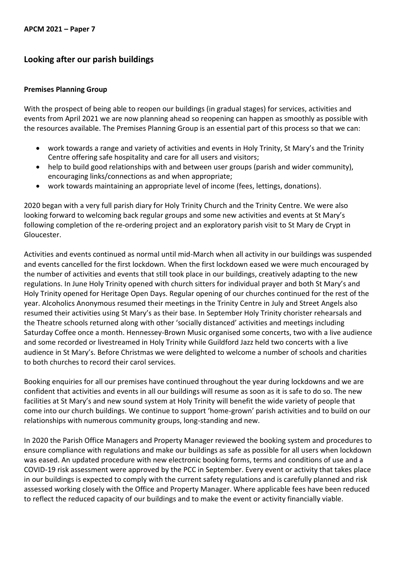# **Looking after our parish buildings**

#### **Premises Planning Group**

With the prospect of being able to reopen our buildings (in gradual stages) for services, activities and events from April 2021 we are now planning ahead so reopening can happen as smoothly as possible with the resources available. The Premises Planning Group is an essential part of this process so that we can:

- work towards a range and variety of activities and events in Holy Trinity, St Mary's and the Trinity Centre offering safe hospitality and care for all users and visitors;
- help to build good relationships with and between user groups (parish and wider community), encouraging links/connections as and when appropriate;
- work towards maintaining an appropriate level of income (fees, lettings, donations).

2020 began with a very full parish diary for Holy Trinity Church and the Trinity Centre. We were also looking forward to welcoming back regular groups and some new activities and events at St Mary's following completion of the re-ordering project and an exploratory parish visit to St Mary de Crypt in Gloucester.

Activities and events continued as normal until mid-March when all activity in our buildings was suspended and events cancelled for the first lockdown. When the first lockdown eased we were much encouraged by the number of activities and events that still took place in our buildings, creatively adapting to the new regulations. In June Holy Trinity opened with church sitters for individual prayer and both St Mary's and Holy Trinity opened for Heritage Open Days. Regular opening of our churches continued for the rest of the year. Alcoholics Anonymous resumed their meetings in the Trinity Centre in July and Street Angels also resumed their activities using St Mary's as their base. In September Holy Trinity chorister rehearsals and the Theatre schools returned along with other 'socially distanced' activities and meetings including Saturday Coffee once a month. Hennessey-Brown Music organised some concerts, two with a live audience and some recorded or livestreamed in Holy Trinity while Guildford Jazz held two concerts with a live audience in St Mary's. Before Christmas we were delighted to welcome a number of schools and charities to both churches to record their carol services.

Booking enquiries for all our premises have continued throughout the year during lockdowns and we are confident that activities and events in all our buildings will resume as soon as it is safe to do so. The new facilities at St Mary's and new sound system at Holy Trinity will benefit the wide variety of people that come into our church buildings. We continue to support 'home-grown' parish activities and to build on our relationships with numerous community groups, long-standing and new.

In 2020 the Parish Office Managers and Property Manager reviewed the booking system and procedures to ensure compliance with regulations and make our buildings as safe as possible for all users when lockdown was eased. An updated procedure with new electronic booking forms, terms and conditions of use and a COVID-19 risk assessment were approved by the PCC in September. Every event or activity that takes place in our buildings is expected to comply with the current safety regulations and is carefully planned and risk assessed working closely with the Office and Property Manager. Where applicable fees have been reduced to reflect the reduced capacity of our buildings and to make the event or activity financially viable.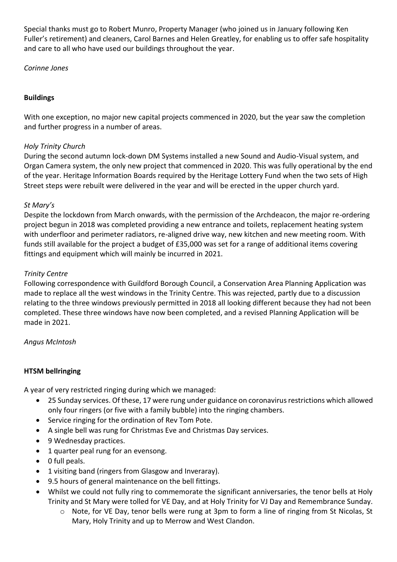Special thanks must go to Robert Munro, Property Manager (who joined us in January following Ken Fuller's retirement) and cleaners, Carol Barnes and Helen Greatley, for enabling us to offer safe hospitality and care to all who have used our buildings throughout the year.

*Corinne Jones*

### **Buildings**

With one exception, no major new capital projects commenced in 2020, but the year saw the completion and further progress in a number of areas.

### *Holy Trinity Church*

During the second autumn lock-down DM Systems installed a new Sound and Audio-Visual system, and Organ Camera system, the only new project that commenced in 2020. This was fully operational by the end of the year. Heritage Information Boards required by the Heritage Lottery Fund when the two sets of High Street steps were rebuilt were delivered in the year and will be erected in the upper church yard.

### *St Mary's*

Despite the lockdown from March onwards, with the permission of the Archdeacon, the major re-ordering project begun in 2018 was completed providing a new entrance and toilets, replacement heating system with underfloor and perimeter radiators, re-aligned drive way, new kitchen and new meeting room. With funds still available for the project a budget of £35,000 was set for a range of additional items covering fittings and equipment which will mainly be incurred in 2021.

## *Trinity Centre*

Following correspondence with Guildford Borough Council, a Conservation Area Planning Application was made to replace all the west windows in the Trinity Centre. This was rejected, partly due to a discussion relating to the three windows previously permitted in 2018 all looking different because they had not been completed. These three windows have now been completed, and a revised Planning Application will be made in 2021.

### *Angus McIntosh*

### **HTSM bellringing**

A year of very restricted ringing during which we managed:

- 25 Sunday services. Of these, 17 were rung under guidance on coronavirus restrictions which allowed only four ringers (or five with a family bubble) into the ringing chambers.
- Service ringing for the ordination of Rev Tom Pote.
- A single bell was rung for Christmas Eve and Christmas Day services.
- 9 Wednesday practices.
- 1 quarter peal rung for an evensong.
- 0 full peals.
- 1 visiting band (ringers from Glasgow and Inveraray).
- 9.5 hours of general maintenance on the bell fittings.
- Whilst we could not fully ring to commemorate the significant anniversaries, the tenor bells at Holy Trinity and St Mary were tolled for VE Day, and at Holy Trinity for VJ Day and Remembrance Sunday.
	- o Note, for VE Day, tenor bells were rung at 3pm to form a line of ringing from St Nicolas, St Mary, Holy Trinity and up to Merrow and West Clandon.